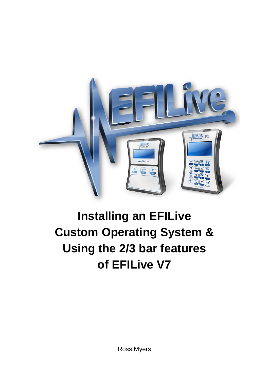

# **Installing an EFILive Custom Operating System & Using the 2/3 bar features of EFILive V7**

Ross Myers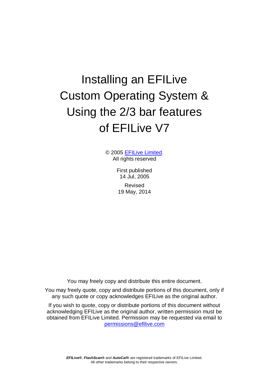# Installing an EFILive Custom Operating System & Using the 2/3 bar features of EFILive V7

© 2005 [EFILive Limited.](http://www.efilive.com/) All rights reserved

> First published 14 Jul, 2005 Revised 19 May, 2014

You may freely copy and distribute this entire document.

You may freely quote, copy and distribute portions of this document, only if any such quote or copy acknowledges EFILive as the original author.

If you wish to quote, copy or distribute portions of this document without acknowledging EFILive as the original author, written permission must be obtained from EFILive Limited. Permission may be requested via email to [permissions@efilive.com](mailto:permissions@efilive.com)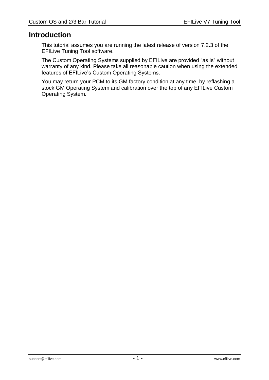# **Introduction**

This tutorial assumes you are running the latest release of version 7.2.3 of the EFILive Tuning Tool software.

The Custom Operating Systems supplied by EFILive are provided "as is" without warranty of any kind. Please take all reasonable caution when using the extended features of EFILive's Custom Operating Systems.

You may return your PCM to its GM factory condition at any time, by reflashing a stock GM Operating System and calibration over the top of any EFILive Custom Operating System.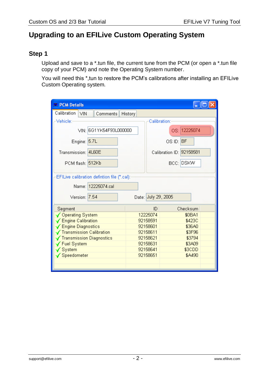# **Upgrading to an EFILive Custom Operating System**

# **Step 1**

Upload and save to a \*.tun file, the current tune from the PCM (or open a \*.tun file copy of your PCM) and note the Operating System number.

You will need this \*, tun to restore the PCM's calibrations after installing an EFILive Custom Operating system.

| <b>PCM Details</b>                           |                     |                          |  |  |  |  |
|----------------------------------------------|---------------------|--------------------------|--|--|--|--|
| Calibration<br>VIN<br>Comments<br>History    |                     |                          |  |  |  |  |
| Vehicle:-                                    |                     | Calibration:             |  |  |  |  |
| VIN: 6G1YK54F93L000000                       |                     | OS: 12225074             |  |  |  |  |
| Engine: 5.7L                                 |                     | OS ID: BF                |  |  |  |  |
| Transmission: 4L60E                          |                     | Calibration ID: 92158581 |  |  |  |  |
| PCM flash: 512Kb                             |                     | BCC: DSKW                |  |  |  |  |
| EFILive calibration defintion file (*.cal):⊦ |                     |                          |  |  |  |  |
| Name: 12225074.cal                           |                     |                          |  |  |  |  |
| Version: 7.54                                | Date: July 29, 2005 |                          |  |  |  |  |
| Segment                                      | ID.                 | Checksum                 |  |  |  |  |
| ✔ Operating System                           | 12225074            | \$0BA1                   |  |  |  |  |
| <b>Engine Calibration</b>                    | 92158591            | \$423C                   |  |  |  |  |
| <b>Engine Diagnostics</b>                    | 92158601            | \$36A0                   |  |  |  |  |
| <b>Transmission Calibration</b>              | 92158611            | \$3F96                   |  |  |  |  |
| Transmission Diagnostics                     | 92158621            | \$3794                   |  |  |  |  |
| <b>Fuel System</b>                           | 92158631            | \$3A09                   |  |  |  |  |
| $\sqrt{\text{System}}$                       | 92158641            | \$3CDD                   |  |  |  |  |
| √ Speedometer                                | 92158651            | \$A490                   |  |  |  |  |
|                                              |                     |                          |  |  |  |  |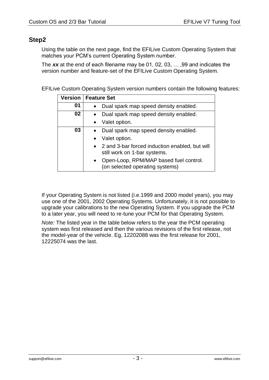# **Step2**

Using the table on the next page, find the EFILive Custom Operating System that matches your PCM's current Operating System number.

The *xx* at the end of each filename may be 01, 02, 03, … ,99 and indicates the version number and feature-set of the EFILive Custom Operating System.

EFILive Custom Operating System version numbers contain the following features:

|    | Version   Feature Set                                                                  |  |  |  |  |  |  |
|----|----------------------------------------------------------------------------------------|--|--|--|--|--|--|
| 01 | Dual spark map speed density enabled.                                                  |  |  |  |  |  |  |
| 02 | Dual spark map speed density enabled.                                                  |  |  |  |  |  |  |
|    | Valet option.                                                                          |  |  |  |  |  |  |
| 03 | Dual spark map speed density enabled.                                                  |  |  |  |  |  |  |
|    | Valet option.                                                                          |  |  |  |  |  |  |
|    | • 2 and 3-bar forced induction enabled, but will<br>still work on 1-bar systems.       |  |  |  |  |  |  |
|    | Open-Loop, RPM/MAP based fuel control.<br>$\bullet$<br>(on selected operating systems) |  |  |  |  |  |  |

If your Operating System is not listed (i.e.1999 and 2000 model years), you may use one of the 2001, 2002 Operating Systems. Unfortunately, it is not possible to upgrade your calibrations to the new Operating System. If you upgrade the PCM to a later year, you will need to re-tune your PCM for that Operating System.

*Note:* The listed year in the table below refers to the year the PCM operating system was first released and then the various revisions of the first release, not the model-year of the vehicle. Eg, 12202088 was the first release for 2001, 12225074 was the last.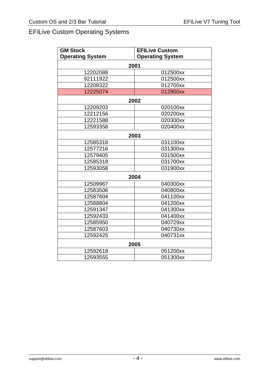# EFILive Custom Operating Systems

| <b>GM Stock</b>         | <b>EFILive Custom</b>   |  |  |  |  |
|-------------------------|-------------------------|--|--|--|--|
| <b>Operating System</b> | <b>Operating System</b> |  |  |  |  |
| 2001                    |                         |  |  |  |  |
| 12202088                | 012500xx                |  |  |  |  |
| 92111922                | 012500xx                |  |  |  |  |
| 12208322                | 012700xx                |  |  |  |  |
| 12225074                | 012900xx                |  |  |  |  |
| 2002                    |                         |  |  |  |  |
| 12209203                | 020100xx                |  |  |  |  |
| 12212156                | 020200xx                |  |  |  |  |
| 12221588                | 020300xx                |  |  |  |  |
| 12593358                | 020400xx                |  |  |  |  |
|                         | 2003                    |  |  |  |  |
| 12585318                | 031100xx                |  |  |  |  |
| 12577216                | 031300xx                |  |  |  |  |
| 12579405                | 031500xx                |  |  |  |  |
| 12585318                | 031700xx                |  |  |  |  |
| 12593058                | 031900xx                |  |  |  |  |
|                         | 2004                    |  |  |  |  |
| 12509967                | 040300xx                |  |  |  |  |
| 12583506                | 040800xx                |  |  |  |  |
| 12587604                | 041100xx                |  |  |  |  |
| 12588804                | 041200xx                |  |  |  |  |
| 12591347                | 041300xx                |  |  |  |  |
| 12592433                | 041400xx                |  |  |  |  |
| 12585950                | 040729xx                |  |  |  |  |
| 12587603                | 040730xx                |  |  |  |  |
| 12592425                | 040731xx                |  |  |  |  |
| 2005                    |                         |  |  |  |  |
| 12592618                | 051200xx                |  |  |  |  |
| 12593555                | 051300xx                |  |  |  |  |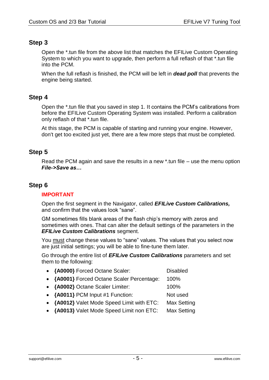# **Step 3**

Open the \*.tun file from the above list that matches the EFILive Custom Operating System to which you want to upgrade, then perform a full reflash of that \*.tun file into the PCM.

When the full reflash is finished, the PCM will be left in *dead poll* that prevents the engine being started.

# **Step 4**

Open the \*.tun file that you saved in step 1. It contains the PCM's calibrations from before the EFILive Custom Operating System was installed. Perform a calibration only reflash of that \*.tun file.

At this stage, the PCM is capable of starting and running your engine. However, don't get too excited just yet, there are a few more steps that must be completed.

# **Step 5**

Read the PCM again and save the results in a new \*.tun file – use the menu option *File->Save as…*

## **Step 6**

## **IMPORTANT**

Open the first segment in the Navigator, called *EFILive Custom Calibrations,* and confirm that the values look "sane".

GM sometimes fills blank areas of the flash chip's memory with zeros and sometimes with ones. That can alter the default settings of the parameters in the *EFILive Custom Calibrations* segment.

You must change these values to "sane" values. The values that you select now are just initial settings; you will be able to fine-tune them later.

Go through the entire list of *EFILive Custom Calibrations* parameters and set them to the following:

| • {A0000} Forced Octane Scaler:            | <b>Disabled</b>    |
|--------------------------------------------|--------------------|
| • {A0001} Forced Octane Scaler Percentage: | 100%               |
| • {A0002} Octane Scaler Limiter:           | 100%               |
| • {A0011} PCM Input #1 Function:           | Not used           |
| • {A0012} Valet Mode Speed Limit with ETC: | <b>Max Setting</b> |
| • {A0013} Valet Mode Speed Limit non ETC:  | <b>Max Setting</b> |
|                                            |                    |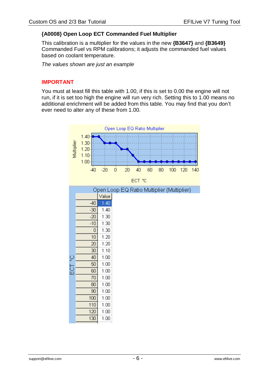## <span id="page-7-0"></span>**{A0008} Open Loop ECT Commanded Fuel Multiplier**

This calibration is a multiplier for the values in the new **{B3647}** and **{B3649}** Commanded Fuel vs RPM calibrations; it adjusts the commanded fuel values based on coolant temperature.

*The values shown are just an example*

## **IMPORTANT**

You must at least fill this table with 1.00, if this is set to 0.00 the engine will not run, if it is set too high the engine will run very rich. Setting this to 1.00 means no additional enrichment will be added from this table. You may find that you don't ever need to alter any of these from 1.00.

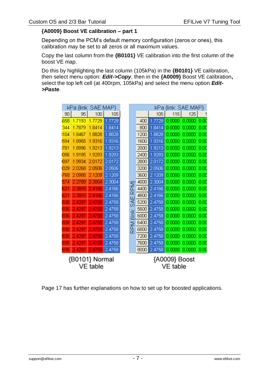## **{A0009} Boost VE calibration – part 1**

Depending on the PCM's default memory configuration (zeros or ones), this calibration may be set to all zeros or all maximum values.

Copy the last column from the **{B0101}** VE calibration into the first column of the boost VE map.

Do this by highlighting the last column (105kPa) in the **{B0101}** VE calibration, then select menu option: *Edit->Copy*, then in the **{A0009}** Boost VE calibration**,**  select the top left cell (at 400rpm, 105kPa) and select the menu option *Edit- >Paste*.

| kPa {link: SAE.MAP}        |        |        |        |  | kPa {link: SAE.MAP}                              |      |        |        |        |      |
|----------------------------|--------|--------|--------|--|--------------------------------------------------|------|--------|--------|--------|------|
| 90                         | 95     | 100    | 105    |  |                                                  |      | 105    | 115    | 125    | 1    |
| 658                        | 1.7193 | 1.7729 | 1.7729 |  |                                                  | 400  | 1.7729 | 0.0000 | 0.0000 | 0.00 |
| 344                        | 1.7879 | 1.8414 | 1.8414 |  |                                                  | 800  | 1.8414 | 0.0000 | 0.0000 | 0.00 |
| 104                        | 1.8467 | 1.8828 | 1.8828 |  |                                                  | 1200 | 1.8828 | 0.0000 | 0.0000 | 0.00 |
| 594                        | 1.8955 | 1.9316 | 1.9316 |  |                                                  | 1600 | 1.9316 | 0.0000 | 0.0000 | 0.00 |
| 1781                       | 1.8996 | 1.9213 | 1.9213 |  |                                                  | 2000 | 1.9213 | 0.0000 | 0.0000 | 0.00 |
| 096                        | 1.9195 | 1.9293 | 1.9293 |  |                                                  | 2400 | 1.9293 | 0.0000 | 0.0000 | 0.00 |
| 697                        | 1.9934 | 2.0172 | 2.0172 |  |                                                  | 2800 | 2.0172 | 0.0000 | 0.0000 | 0.00 |
| 029                        | 2.0268 | 2.0506 | 2.0506 |  |                                                  | 3200 | 2.0506 | 0.0000 | 0.0000 | 0.00 |
| 768                        | 2.0988 | 2.1209 | 2.1209 |  | È<br>Δ.<br>œ<br>Ш<br>న్<br>Q<br>€<br>Σ<br>a<br>R | 3600 | 2.1209 | 0.0000 | 0.0000 | 0.00 |
| 574                        | 2.2789 | 2.3004 | 2.3004 |  |                                                  | 4000 | 2.3004 | 0.0000 | 0.0000 | 0.00 |
| 621                        | 2.3893 | 2.4166 | 2.4166 |  |                                                  | 4400 | 2.4166 | 0.0000 | 0.0000 | 0.00 |
| 621                        | 2.3893 | 2.4166 | 2.4166 |  |                                                  | 4800 | 2.4166 | 0.0000 | 0.0000 | 0.00 |
| 836                        | 2.4297 | 2.4758 | 2.4758 |  |                                                  | 5200 | 2.4758 | 0.0000 | 0.0000 | 0.00 |
| 836                        | 2.4297 | 2.4758 | 2.4758 |  |                                                  | 5600 | 2.4758 | 0.0000 | 0.0000 | 0.00 |
| 836                        | 2.4297 | 2.4758 | 2.4758 |  |                                                  | 6000 | 2.4758 | 0.0000 | 0.0000 | 0.00 |
| 836                        | 2.4297 | 2.4758 | 2.4758 |  |                                                  | 6400 | 2.4758 | 0.0000 | 0.0000 | 0.00 |
| 836                        | 2.4297 | 2.4758 | 2.4758 |  |                                                  | 6800 | 2.4758 | 0.0000 | 0.0000 | 0.00 |
| 836                        | 2.4297 | 2.4758 | 2.4758 |  |                                                  | 7200 | 2.4758 | 0.0000 | 0.0000 | 0.00 |
| 836                        | 2.4297 | 2.4758 | 2.4758 |  |                                                  | 7600 | 2.4758 | 0.0000 | 0.0000 | 0.00 |
| 836                        | 2.4297 | 2.4758 | 2.4758 |  |                                                  | 8000 | 2.4758 | 0.0000 | 0.0000 | 0.00 |
| {B0101} Normal<br>VE table |        |        |        |  | {A0009} Boost<br><b>VE</b> table                 |      |        |        |        |      |

Page [17](#page-18-0) has further explanations on how to set up for boosted applications.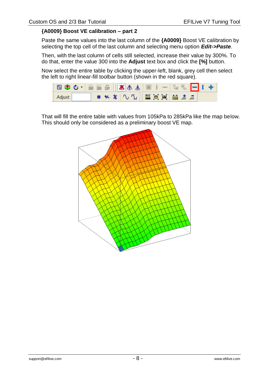#### **{A0009} Boost VE calibration – part 2**

Paste the same values into the last column of the **{A0009}** Boost VE calibration by selecting the top cell of the last column and selecting menu option *Edit->Paste*.

Then, with the last column of cells still selected, increase their value by 300%. To do that, enter the value 300 into the **Adjust** text box and click the **[%]** button.

Now select the entire table by clicking the upper-left, blank, grey cell then select the left to right linear-fill toolbar button (shown in the red square).



That will fill the entire table with values from 105kPa to 285kPa like the map below. This should only be considered as a preliminary boost VE map.

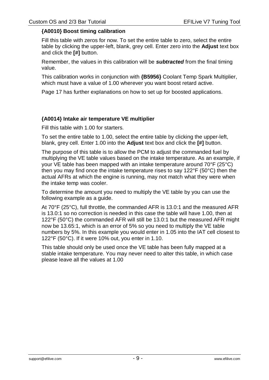## <span id="page-10-0"></span>**{A0010} Boost timing calibration**

Fill this table with zeros for now. To set the entire table to zero, select the entire table by clicking the upper-left, blank, grey cell. Enter zero into the **Adjust** text box and click the **[#]** button.

Remember, the values in this calibration will be *subtracted* from the final timing value.

This calibration works in conjunction with **{B5956}** Coolant Temp Spark Multiplier, which must have a value of 1.00 wherever you want boost retard active.

Page [17](#page-18-0) has further explanations on how to set up for boosted applications.

## **{A0014} Intake air temperature VE multiplier**

Fill this table with 1.00 for starters.

To set the entire table to 1.00, select the entire table by clicking the upper-left, blank, grey cell. Enter 1.00 into the **Adjust** text box and click the **[#]** button.

The purpose of this table is to allow the PCM to adjust the commanded fuel by multiplying the VE table values based on the intake temperature. As an example, if your VE table has been mapped with an intake temperature around 70°F (25°C) then you may find once the intake temperature rises to say 122°F (50°C) then the actual AFRs at which the engine is running, may not match what they were when the intake temp was cooler.

To determine the amount you need to multiply the VE table by you can use the following example as a guide.

At 70°F (25°C), full throttle, the commanded AFR is 13.0:1 and the measured AFR is 13.0:1 so no correction is needed in this case the table will have 1.00, then at 122°F (50°C) the commanded AFR will still be 13.0:1 but the measured AFR might now be 13.65:1, which is an error of 5% so you need to multiply the VE table numbers by 5%. In this example you would enter in 1.05 into the IAT cell closest to 122°F (50°C). If it were 10% out, you enter in 1.10.

This table should only be used once the VE table has been fully mapped at a stable intake temperature. You may never need to alter this table, in which case please leave all the values at 1.00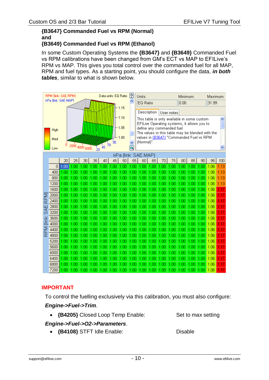#### **{B3647} Commanded Fuel vs RPM (Normal) and {B3649} Commanded Fuel vs RPM (Ethanol)**

In some Custom Operating Systems the **{B3647}** and **{B3649}** Commanded Fuel vs RPM calibrations have been changed from GM's ECT vs MAP to EFILive's RPM vs MAP. This gives you total control over the commanded fuel for all MAP, RPM and fuel types. As a starting point, you should configure the data, *in both tables*, similar to what is shown below.



# **IMPORTANT**

To control the fuelling exclusively via this calibration, you must also configure:

## *Engine->Fuel->Trim*.

**{B4205}** Closed Loop Temp Enable: Set to max setting

## *Engine->Fuel->O2->Parameters*.

**{B4108}** STFT Idle Enable: Disable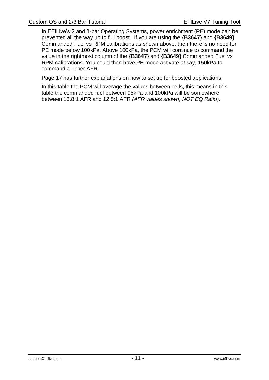In EFILive's 2 and 3-bar Operating Systems, power enrichment (PE) mode can be prevented all the way up to full boost. If you are using the **{B3647}** and **{B3649}** Commanded Fuel vs RPM calibrations as shown above, then there is no need for PE mode below 100kPa. Above 100kPa, the PCM will continue to command the value in the rightmost column of the **{B3647}** and **{B3649}** Commanded Fuel vs RPM calibrations. You could then have PE mode activate at say, 150kPa to command a richer AFR.

Page [17](#page-18-0) has further explanations on how to set up for boosted applications.

In this table the PCM will average the values between cells, this means in this table the commanded fuel between 95kPa and 100kPa will be somewhere between 13.8:1 AFR and 12.5:1 AFR *(AFR values shown, NOT EQ Ratio)*.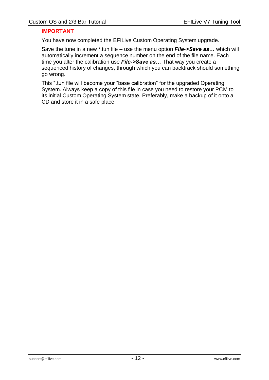## **IMPORTANT**

You have now completed the EFILive Custom Operating System upgrade.

Save the tune in a new \*.tun file – use the menu option *File->Save as…* which will automatically increment a sequence number on the end of the file name. Each time you alter the calibration use *File->Save as…* That way you create a sequenced history of changes, through which you can backtrack should something go wrong.

This \*.tun file will become your "base calibration" for the upgraded Operating System. Always keep a copy of this file in case you need to restore your PCM to its initial Custom Operating System state. Preferably, make a backup of it onto a CD and store it in a safe place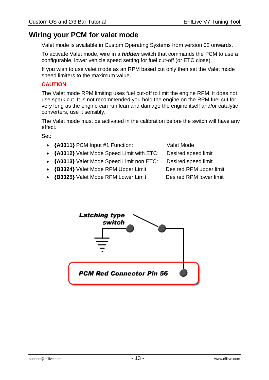# **Wiring your PCM for valet mode**

Valet mode is available in Custom Operating Systems from version 02 onwards.

To activate Valet mode, wire in a *hidden* switch that commands the PCM to use a configurable, lower vehicle speed setting for fuel cut-off (or ETC close).

If you wish to use valet mode as an RPM based cut only then set the Valet mode speed limiters to the maximum value.

## **CAUTION**

The Valet mode RPM limiting uses fuel cut-off to limit the engine RPM, it does not use spark cut. It is not recommended you hold the engine on the RPM fuel cut for very long as the engine can run lean and damage the engine itself and/or catalytic converters, use it sensibly.

The Valet mode must be activated in the calibration before the switch will have any effect.

Set:

- **{A0011}** PCM Input #1 Function: Valet Mode
- **{A0012}** Valet Mode Speed Limit with ETC: Desired speed limit
- **{A0013}** Valet Mode Speed Limit non ETC: Desired speed limit
- **{B3324}** Valet Mode RPM Upper Limit: Desired RPM upper limit
- 
- **{B3325}** Valet Mode RPM Lower Limit: Desired RPM lower limit

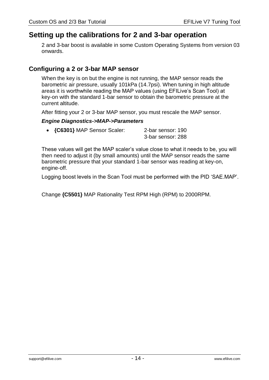# **Setting up the calibrations for 2 and 3-bar operation**

2 and 3-bar boost is available in some Custom Operating Systems from version 03 onwards.

# **Configuring a 2 or 3-bar MAP sensor**

When the key is on but the engine is not running, the MAP sensor reads the barometric air pressure, usually 101kPa (14.7psi). When tuning in high altitude areas it is worthwhile reading the MAP values (using EFILive's Scan Tool) at key-on with the standard 1-bar sensor to obtain the barometric pressure at the current altitude.

After fitting your 2 or 3-bar MAP sensor, you must rescale the MAP sensor.

#### *Engine Diagnostics->MAP->Parameters*

| • {C6301} MAP Sensor Scaler: | 2-bar sensor: 190 |  |  |  |
|------------------------------|-------------------|--|--|--|
|                              | 3-bar sensor: 288 |  |  |  |

These values will get the MAP scaler's value close to what it needs to be, you will then need to adjust it (by small amounts) until the MAP sensor reads the same barometric pressure that your standard 1-bar sensor was reading at key-on, engine-off.

Logging boost levels in the Scan Tool must be performed with the PID 'SAE.MAP'.

Change **{C5501}** MAP Rationality Test RPM High (RPM) to 2000RPM.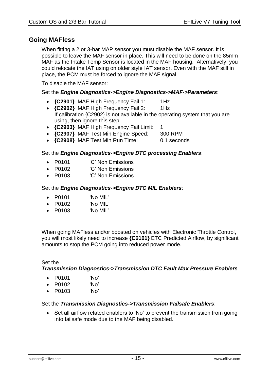# **Going MAFless**

When fitting a 2 or 3-bar MAP sensor you must disable the MAF sensor. It is possible to leave the MAF sensor in place. This will need to be done on the 85mm MAF as the Intake Temp Sensor is located in the MAF housing. Alternatively, you could relocate the IAT using on older style IAT sensor. Even with the MAF still in place, the PCM must be forced to ignore the MAF signal.

To disable the MAF sensor:

Set the *Engine Diagnostics->Engine Diagnostics->MAF->Parameters*:

- **{C2901}** MAF High Frequency Fail 1: 1Hz
- **{C2902}** MAF High Frequency Fail 2: 1Hz If calibration {C2902} is not available in the operating system that you are using, then ignore this step.
- **{C2903}** MAF High Frequency Fail Limit: 1
- **{C2907}** MAF Test Min Engine Speed: 300 RPM
- **{C2908}** MAF Test Min Run Time: 0.1 seconds

## Set the *Engine Diagnostics->Engine DTC processing Enablers*:

- P0101 
<sup>'</sup>C' Non Emissions
- P0102 <sup>'</sup>C' Non Emissions
- P0103 'C' Non Emissions

## Set the *Engine Diagnostics->Engine DTC MIL Enablers*:

- P0101 'No MIL'
- P0102 'No MIL'
- P0103 'No MIL'

When going MAFless and/or boosted on vehicles with Electronic Throttle Control, you will most likely need to increase **{C6101}** ETC Predicted Airflow, by significant amounts to stop the PCM going into reduced power mode.

## Set the

*Transmission Diagnostics->Transmission DTC Fault Max Pressure Enablers*

- P0101 'No'
- P0102 'No'
- P0103 'No'

## Set the *Transmission Diagnostics->Transmission Failsafe Enablers*:

• Set all airflow related enablers to 'No' to prevent the transmission from going into failsafe mode due to the MAF being disabled.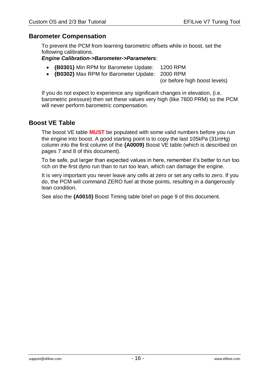## **Barometer Compensation**

To prevent the PCM from learning barometric offsets while in boost, set the following calibrations.

#### *Engine Calibration->Barometer->Parameters*:

- **{B0301}** Min RPM for Barometer Update: 1200 RPM
- **{B0302}** Max RPM for Barometer Update: 2000 RPM

(or before high boost levels)

If you do not expect to experience any significant changes in elevation, (i.e. barometric pressure) then set these values very high (like 7800 PRM) so the PCM will never perform barometric compensation.

## **Boost VE Table**

The boost VE table **MUST** be populated with some valid numbers before you run the engine into boost. A good starting point is to copy the last 105kPa (31inHg) column into the first column of the **{A0009}** Boost VE table (which is described on pages 7 and 8 of this document).

To be safe, put larger than expected values in here, remember it's better to run too rich on the first dyno run than to run too lean, which can damage the engine.

It is very important you never leave any cells at zero or set any cells to zero. If you do, the PCM will command ZERO fuel at those points, resulting in a dangerously lean condition.

See also the **{A0010}** Boost Timing table brief on page [9](#page-10-0) of this document.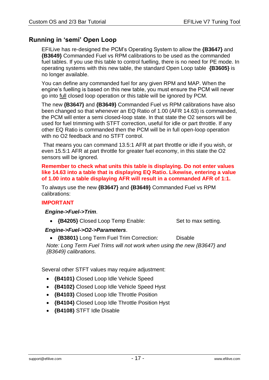# <span id="page-18-0"></span>**Running in 'semi' Open Loop**

EFILive has re-designed the PCM's Operating System to allow the **{B3647}** and **{B3649}** Commanded Fuel vs RPM calibrations to be used as the commanded fuel tables. If you use this table to control fuelling, there is no need for PE mode. In operating systems with this new table, the standard Open Loop table **{B3605}** is no longer available.

You can define any commanded fuel for any given RPM and MAP. When the engine's fuelling is based on this new table, you must ensure the PCM will never go into full closed loop operation or this table will be ignored by PCM.

The new **{B3647}** and **{B3649}** Commanded Fuel vs RPM calibrations have also been changed so that whenever an EQ Ratio of 1.00 (AFR 14.63) is commanded, the PCM will enter a semi closed-loop state. In that state the O2 sensors will be used for fuel trimming with STFT correction, useful for idle or part throttle. If any other EQ Ratio is commanded then the PCM will be in full open-loop operation with no O<sub>2</sub> feedback and no STFT control.

That means you can command 13.5:1 AFR at part throttle or idle if you wish, or even 15.5:1 AFR at part throttle for greater fuel economy, in this state the O2 sensors will be ignored.

**Remember to check what units this table is displaying. Do not enter values like 14.63 into a table that is displaying EQ Ratio. Likewise, entering a value of 1.00 into a table displaying AFR will result in a commanded AFR of 1:1.**

To always use the new **{B3647}** and **{B3649}** Commanded Fuel vs RPM calibrations:

## **IMPORTANT**

## *Engine->Fuel->Trim*.

• **{B4205}** Closed Loop Temp Enable: Set to max setting.

## *Engine->Fuel->O2->Parameters*.

**{B3801}** Long Term Fuel Trim Correction: Disable

*Note: Long Term Fuel Trims will not work when using the new {B3647} and {B3649} calibrations.*

Several other STFT values may require adjustment:

- **{B4101}** Closed Loop Idle Vehicle Speed
- **{B4102}** Closed Loop Idle Vehicle Speed Hyst
- **{B4103}** Closed Loop Idle Throttle Position
- **{B4104}** Closed Loop Idle Throttle Position Hyst
- **{B4108}** STFT Idle Disable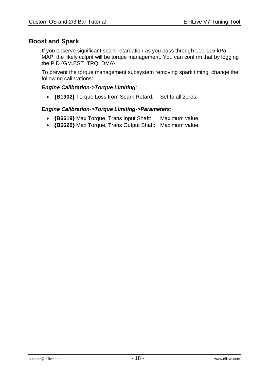# **Boost and Spark**

If you observe significant spark retardation as you pass through 110-115 kPa MAP, the likely culprit will be torque management. You can confirm that by logging the PID {GM.EST\_TRQ\_DMA}.

To prevent the torque management subsystem removing spark timing, change the following calibrations:

## *Engine Calibration->Torque Limiting*:

**{B1902}** Torque Loss from Spark Retard: Set to all zeros.

## *Engine Calibration->Torque Limiting->Parameters*:

- **{B6619}** Max Torque, Trans Input Shaft: Maximum value.
- **{B6620}** Max Torque, Trans Output Shaft: Maximum value.